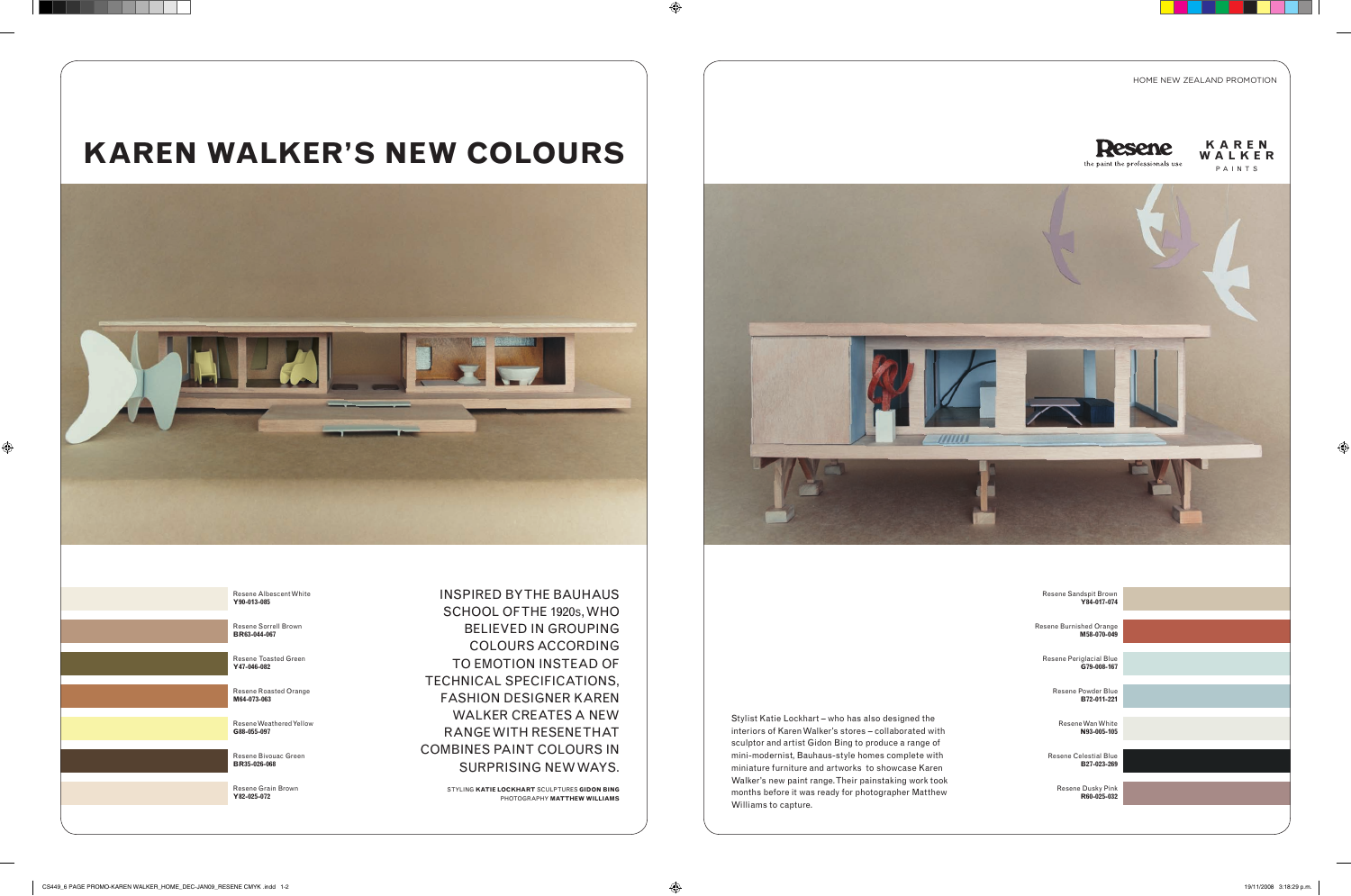### HOME NEW ZEALAND PROMOTION



**K A R E N**



INSPIRED BY THE BAUHAUS SCHOOL OF THE 1920S, WHO BELIEVED IN GROUPING COLOURS ACCORDING TO EMOTION INSTEAD OF TECHNICAL SPECIFICATIONS, FASHION DESIGNER KAREN WALKER CREATES A NEW RANGE WITH RESENE THAT COMBINES PAINT COLOURS IN SURPRISING NEW WAYS.

> STYLING **KATIE LOCKHART** SCULPTURES **GIDON BING** PHOTOGRAPHY **MATTHEW WILLIAMS**

Stylist Katie Lockhart – who has also designed the interiors of Karen Walker's stores – collaborated with sculptor and artist Gidon Bing to produce a range of mini-modernist, Bauhaus-style homes complete with miniature furniture and artworks to showcase Karen Walker's new paint range. Their painstaking work took months before it was ready for photographer Matthew Williams to capture.

# KAREN WALKER'S NEW COLOURS **EXARENT AND RESSERGE**



Resene Albescent White **Y90-013-085**

Resene Sorrell Brown **BR63-044-067**

Resene Toasted Green **Y47-046-082**

Resene Roasted Orange **M64-073-063**

Resene Weathered Yellow **G88-055-097**

Resene Bivouac Green **BR35-026-068**

Resene Grain Brown **Y82-025-072**

Resene Sandspit Brown **Y84-017-074**

Resene Burnished Orange **M58-070-049**

> Resene Periglacial Blue **G79-008-167**

> > Resene Powder Blue **B72-011-221**

Resene Wan White **N93-005-105**

Resene Celestial Blue **B27-023-269**

> Resene Dusky Pink **R60-025-032**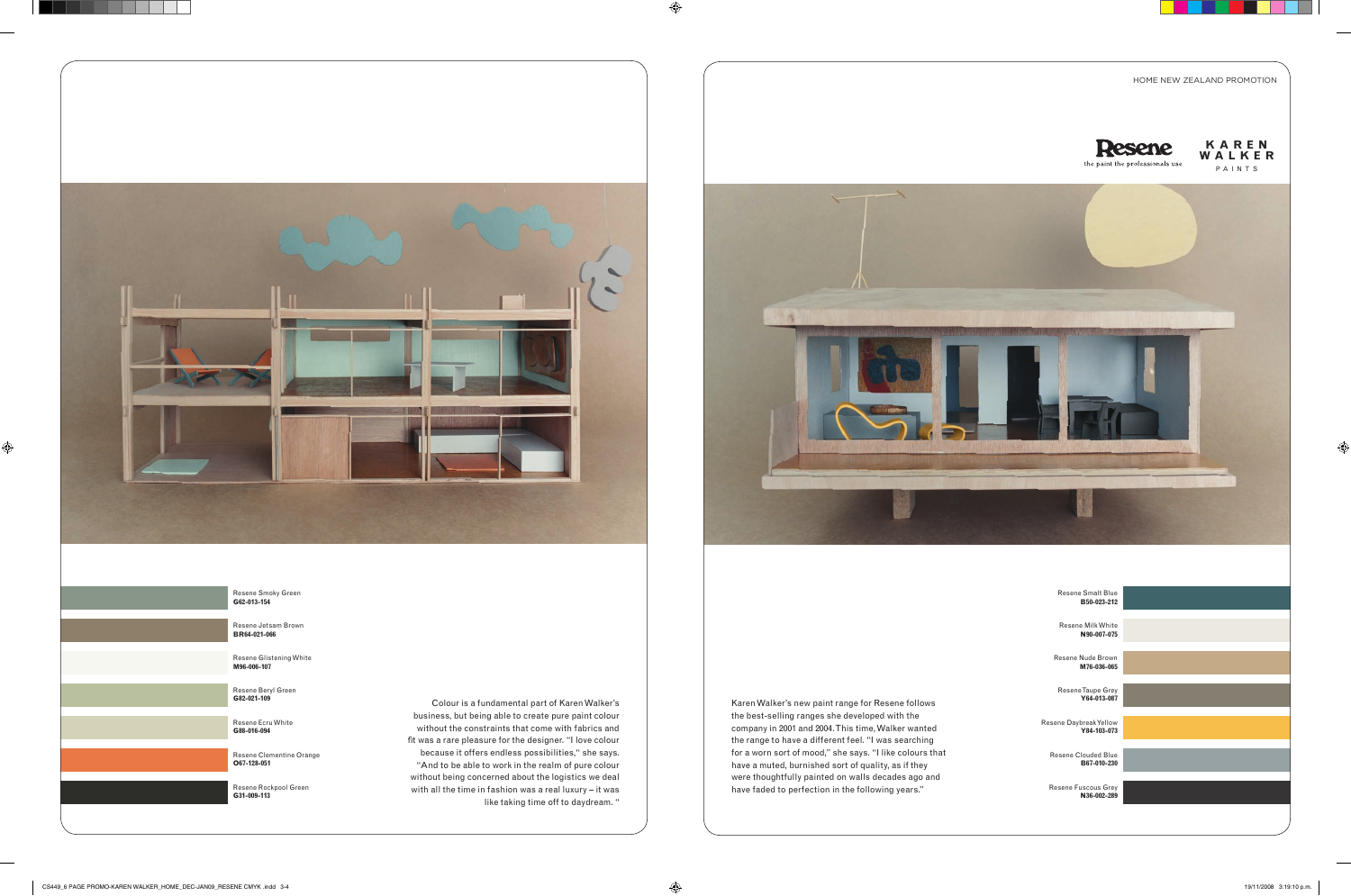

Resene Smoky Green **G62-013-154**

Resene Jetsam Brown **BR64-021-066**

Resene Glistening White **M96-006-107**

Resene Beryl Green **G82-021-109**

Resene Ecru White **G88-016-094**

Resene Clementine Orange **O67-128-051**

Resene Rockpool Green **G31-009-113**



### HOME NEW ZEALAND PROMOTION



Karen Walker's new paint range for Resene follows the best-selling ranges she developed with the company in 2001 and 2004. This time, Walker wanted the range to have a different feel. "I was searching for a worn sort of mood," she says. "I like colours that have a muted, burnished sort of quality, as if they were thoughtfully painted on walls decades ago and have faded to perfection in the following years."

Colour is a fundamental part of Karen Walker's business, but being able to create pure paint colour without the constraints that come with fabrics and fit was a rare pleasure for the designer. "I love colour because it offers endless possibilities," she says. "And to be able to work in the realm of pure colour without being concerned about the logistics we deal with all the time in fashion was a real luxury – it was like taking time off to daydream. "